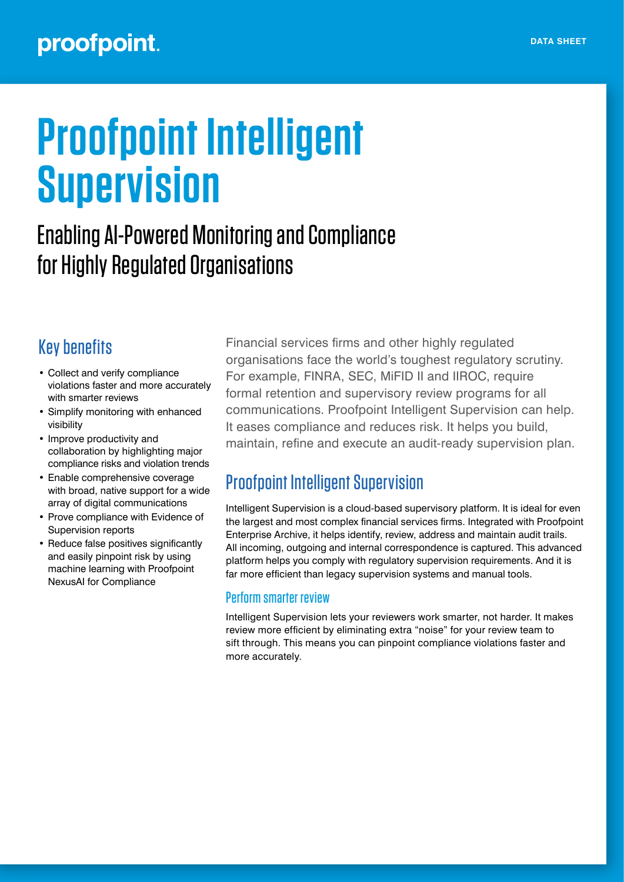# **Proofpoint Intelligent Supervision**

## Enabling AI-Powered Monitoring and Compliance for Highly Regulated Organisations

## Key benefits

- Collect and verify compliance violations faster and more accurately with smarter reviews
- Simplify monitoring with enhanced visibility
- Improve productivity and collaboration by highlighting major compliance risks and violation trends
- Enable comprehensive coverage with broad, native support for a wide array of digital communications
- Prove compliance with Evidence of Supervision reports
- Reduce false positives significantly and easily pinpoint risk by using machine learning with Proofpoint NexusAI for Compliance

Financial services firms and other highly regulated organisations face the world's toughest regulatory scrutiny. For example, FINRA, SEC, MiFID II and IIROC, require formal retention and supervisory review programs for all communications. Proofpoint Intelligent Supervision can help. It eases compliance and reduces risk. It helps you build, maintain, refine and execute an audit-ready supervision plan.

## Proofpoint Intelligent Supervision

Intelligent Supervision is a cloud-based supervisory platform. It is ideal for even the largest and most complex financial services firms. Integrated with Proofpoint Enterprise Archive, it helps identify, review, address and maintain audit trails. All incoming, outgoing and internal correspondence is captured. This advanced platform helps you comply with regulatory supervision requirements. And it is far more efficient than legacy supervision systems and manual tools.

### Perform smarter review

Intelligent Supervision lets your reviewers work smarter, not harder. It makes review more efficient by eliminating extra "noise" for your review team to sift through. This means you can pinpoint compliance violations faster and more accurately.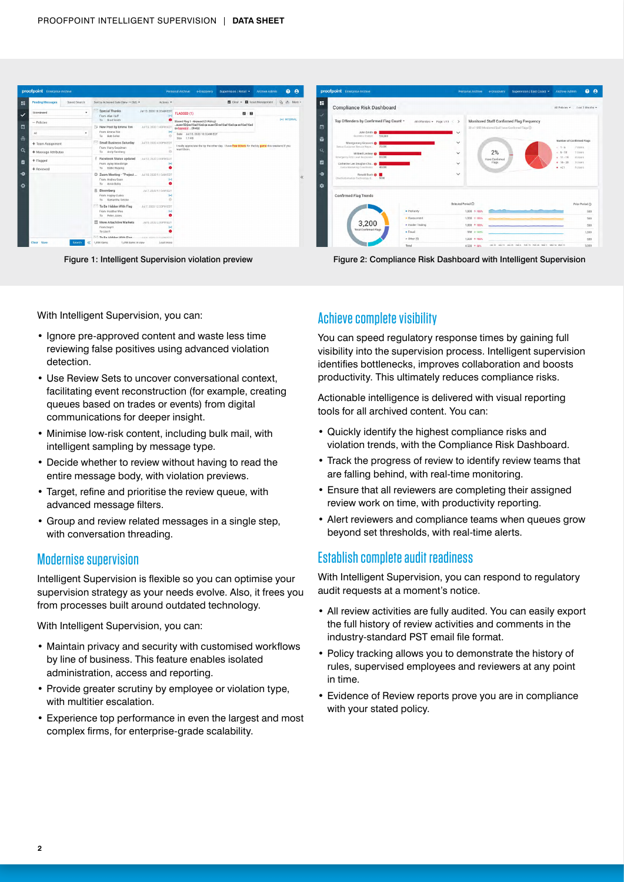| <b>Pending Messages</b><br>Saved Search | Sort by Achieved Date (New -+ Old).                           | Actions *                      |                                                                                                                    | Clear . Il Issue Management   LA de More - | <b>H</b>                                                                 |                                                                     | All Policies v 1 asi 3 Months v                |  |  |
|-----------------------------------------|---------------------------------------------------------------|--------------------------------|--------------------------------------------------------------------------------------------------------------------|--------------------------------------------|--------------------------------------------------------------------------|---------------------------------------------------------------------|------------------------------------------------|--|--|
| Unreviewed                              | Special Thanks<br>From Alen Huff                              | Jul 13, 2020 10:32AM EDT       | <b>FLAGGED (1)</b><br>图目                                                                                           |                                            | <b>Compliance Risk Dashboard</b>                                         |                                                                     |                                                |  |  |
| $-$ Policies                            | To Road Smith<br><b>New Post by Emma Ton</b>                  | Jul 13, 2020 1:40PM EDT        | Shared Flag 1 - Keyword (1 Policy):<br>.auser50@ex16ad16sd.ga auser50 ex16ad16sd.ga ex16ad16sd                     | 1-1 INTERNAL                               | Top Offenders by Confirmed Flag Count -<br>All Offenders + Page 1/13 < > | Monitored Staff Confirmed Flag Frequency                            |                                                |  |  |
| All                                     | From Emma Ton<br>To Bob Geller                                | $\left  \bullet \right $       | qa keyword  (Body)<br>Date Jul 13, 2020 10:32AM EDT                                                                |                                            | John Smith @<br>Sucinoss Analyst 100.000                                 | 20 of 1000 Monitored Staff have Confirmed Flags (2)<br>$\checkmark$ |                                                |  |  |
| + Team Assignment                       | <b>Small Business Saturday</b><br>From Harry Goodman          | Jul 13, 2020 4:00PM EDT        | Size 1.1 KB<br>I really appreciate the tip the other day. I have free tickets for the big game this weekend if you |                                            | Montgomery Giovanni @<br>Senior Customer Service Recen. 70,000           | $\checkmark$                                                        | Number of Confirmed Flags<br>7 Uskes<br>$-1-5$ |  |  |
| + Message Attributes                    | To Andy Samberg                                               |                                | want them.                                                                                                         |                                            | Mildred Lindsey @                                                        | 2%<br>$\checkmark$                                                  | 1 Users<br>$-6 - 10$                           |  |  |
| + Flagged                               | Facebook Status updated<br>From Ayley Woodbrige               | Usil 12, 2020 2:00PM EDT       |                                                                                                                    |                                            | Emergency First Level Responder 60,000<br>Catherine Lee Douglas-Cha.     | Have Confirmed<br>Flags<br>$\checkmark$                             | $-11-15$ d Users<br>$-16 - 20$<br>3 Ugers      |  |  |
| + Reviewed                              | To Eddie Nygong                                               |                                |                                                                                                                    |                                            | Justice Marketing Constitutor 40,000                                     |                                                                     | $-321$<br>5 Users                              |  |  |
|                                         | C Zoom Meeting - "Project<br>From Andrea Goon<br>To Amin Baha | Jul 10, 2020 9:15 AM EDT       |                                                                                                                    |                                            | Ronald Bush @<br>Chief Information Technology 0. 6000                    | $\checkmark$                                                        |                                                |  |  |
|                                         | <b>Bloomberg</b><br>From Hayley Cuoko<br>To Samantha Gelcko   | Jul 7, 2020 9:15AM EDT         |                                                                                                                    |                                            | <b>Confirmed Flag Trends</b>                                             |                                                                     |                                                |  |  |
|                                         | To Be Hidden With Flag<br>From Heather Woo<br>To Peter Jones  | Jul 7, 2020 12:33PM EDT        |                                                                                                                    |                                            | · Profanity                                                              | Selected Period (i)<br>$1,000 + 100$                                | Prior Period (?)<br>SOD                        |  |  |
|                                         | More Attachtive Markets                                       | Jul 6/2020 2:00PM EDT          |                                                                                                                    |                                            | · Harassment                                                             | $1,000 + 100$ %                                                     | 500                                            |  |  |
|                                         | From Dept1                                                    |                                |                                                                                                                    |                                            | 3,200<br>· Insider Trading<br><b>Total Confirmed Flags</b>               | 1,000 + 100%                                                        | 500                                            |  |  |
|                                         | To User1<br>To Be Hidden With Else                            | that a city of a scale a give- |                                                                                                                    |                                            | · Fraud                                                                  | $500 + 100$ %                                                       | 1,000                                          |  |  |
| Clear Save                              | 1,458 items<br>1,458 items in view                            | Load more                      |                                                                                                                    |                                            | $n$ Other (5)                                                            | 1,000 + 100%                                                        | <b>SOD</b>                                     |  |  |

Figure 1: Intelligent Supervision violation preview Figure 2: Compliance Risk Dashboard with Intelligent Supervision

With Intelligent Supervision, you can:

- Ignore pre-approved content and waste less time reviewing false positives using advanced violation detection.
- Use Review Sets to uncover conversational context, facilitating event reconstruction (for example, creating queues based on trades or events) from digital communications for deeper insight.
- Minimise low-risk content, including bulk mail, with intelligent sampling by message type.
- Decide whether to review without having to read the entire message body, with violation previews.
- Target, refine and prioritise the review queue, with advanced message filters.
- Group and review related messages in a single step, with conversation threading.

#### Modernise supervision

Intelligent Supervision is flexible so you can optimise your supervision strategy as your needs evolve. Also, it frees you from processes built around outdated technology.

With Intelligent Supervision, you can:

- Maintain privacy and security with customised workflows by line of business. This feature enables isolated administration, access and reporting.
- Provide greater scrutiny by employee or violation type, with multitier escalation.
- Experience top performance in even the largest and most complex firms, for enterprise-grade scalability.

#### Achieve complete visibility

You can speed regulatory response times by gaining full visibility into the supervision process. Intelligent supervision identifies bottlenecks, improves collaboration and boosts productivity. This ultimately reduces compliance risks.

Actionable intelligence is delivered with visual reporting tools for all archived content. You can:

- Quickly identify the highest compliance risks and violation trends, with the Compliance Risk Dashboard.
- Track the progress of review to identify review teams that are falling behind, with real-time monitoring.
- Ensure that all reviewers are completing their assigned review work on time, with productivity reporting.
- Alert reviewers and compliance teams when queues grow beyond set thresholds, with real-time alerts.

#### Establish complete audit readiness

With Intelligent Supervision, you can respond to regulatory audit requests at a moment's notice.

- All review activities are fully audited. You can easily export the full history of review activities and comments in the industry-standard PST email file format.
- Policy tracking allows you to demonstrate the history of rules, supervised employees and reviewers at any point in time.
- Evidence of Review reports prove you are in compliance with your stated policy.